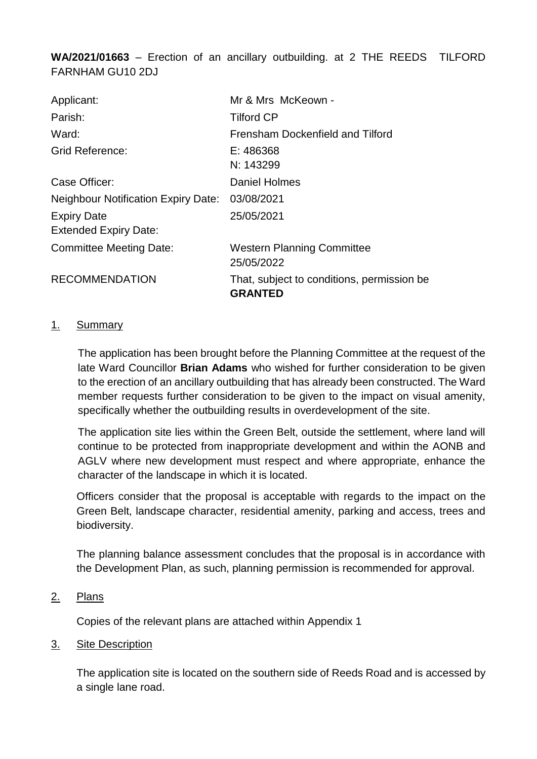**WA/2021/01663** – Erection of an ancillary outbuilding. at 2 THE REEDS TILFORD FARNHAM GU10 2DJ

| Applicant:                                         | Mr & Mrs McKeown -                                           |
|----------------------------------------------------|--------------------------------------------------------------|
| Parish:                                            | <b>Tilford CP</b>                                            |
| Ward:                                              | Frensham Dockenfield and Tilford                             |
| <b>Grid Reference:</b>                             | E: 486368                                                    |
|                                                    | N: 143299                                                    |
| Case Officer:                                      | <b>Daniel Holmes</b>                                         |
| <b>Neighbour Notification Expiry Date:</b>         | 03/08/2021                                                   |
| <b>Expiry Date</b><br><b>Extended Expiry Date:</b> | 25/05/2021                                                   |
| <b>Committee Meeting Date:</b>                     | <b>Western Planning Committee</b><br>25/05/2022              |
| <b>RECOMMENDATION</b>                              | That, subject to conditions, permission be<br><b>GRANTED</b> |

#### 1. Summary

The application has been brought before the Planning Committee at the request of the late Ward Councillor **Brian Adams** who wished for further consideration to be given to the erection of an ancillary outbuilding that has already been constructed. The Ward member requests further consideration to be given to the impact on visual amenity, specifically whether the outbuilding results in overdevelopment of the site.

The application site lies within the Green Belt, outside the settlement, where land will continue to be protected from inappropriate development and within the AONB and AGLV where new development must respect and where appropriate, enhance the character of the landscape in which it is located.

Officers consider that the proposal is acceptable with regards to the impact on the Green Belt, landscape character, residential amenity, parking and access, trees and biodiversity.

The planning balance assessment concludes that the proposal is in accordance with the Development Plan, as such, planning permission is recommended for approval.

2. Plans

Copies of the relevant plans are attached within Appendix 1

3. Site Description

The application site is located on the southern side of Reeds Road and is accessed by a single lane road.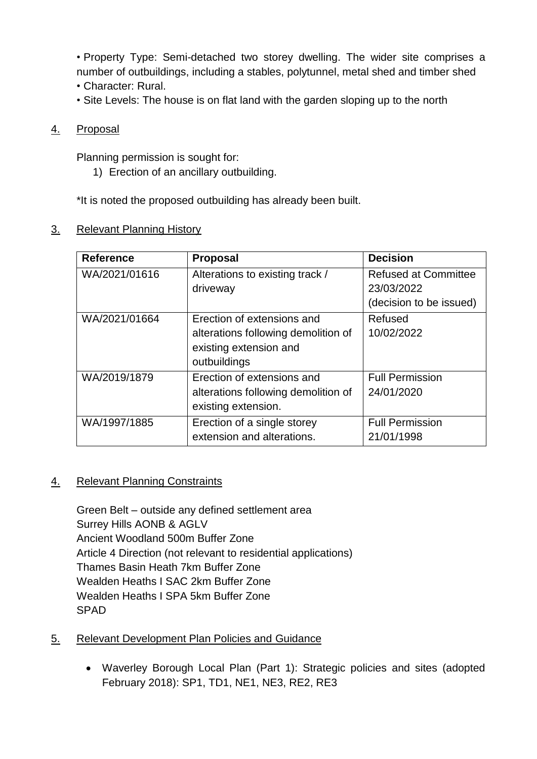• Property Type: Semi-detached two storey dwelling. The wider site comprises a number of outbuildings, including a stables, polytunnel, metal shed and timber shed

- Character: Rural.
- Site Levels: The house is on flat land with the garden sloping up to the north

# 4. Proposal

Planning permission is sought for:

1) Erection of an ancillary outbuilding.

\*It is noted the proposed outbuilding has already been built.

## 3. Relevant Planning History

| <b>Reference</b> | <b>Proposal</b>                                                                                             | <b>Decision</b>                                                      |
|------------------|-------------------------------------------------------------------------------------------------------------|----------------------------------------------------------------------|
| WA/2021/01616    | Alterations to existing track /<br>driveway                                                                 | <b>Refused at Committee</b><br>23/03/2022<br>(decision to be issued) |
| WA/2021/01664    | Erection of extensions and<br>alterations following demolition of<br>existing extension and<br>outbuildings | Refused<br>10/02/2022                                                |
| WA/2019/1879     | Erection of extensions and<br>alterations following demolition of<br>existing extension.                    | <b>Full Permission</b><br>24/01/2020                                 |
| WA/1997/1885     | Erection of a single storey<br>extension and alterations.                                                   | <b>Full Permission</b><br>21/01/1998                                 |

## 4. Relevant Planning Constraints

Green Belt – outside any defined settlement area Surrey Hills AONB & AGLV Ancient Woodland 500m Buffer Zone Article 4 Direction (not relevant to residential applications) Thames Basin Heath 7km Buffer Zone Wealden Heaths I SAC 2km Buffer Zone Wealden Heaths I SPA 5km Buffer Zone SPAD

## 5. Relevant Development Plan Policies and Guidance

 Waverley Borough Local Plan (Part 1): Strategic policies and sites (adopted February 2018): SP1, TD1, NE1, NE3, RE2, RE3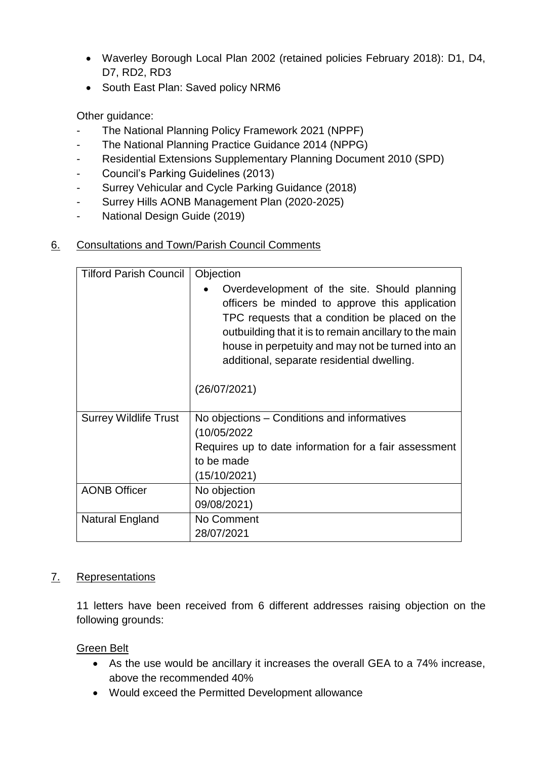- Waverley Borough Local Plan 2002 (retained policies February 2018): D1, D4, D7, RD2, RD3
- South East Plan: Saved policy NRM6

Other guidance:

- The National Planning Policy Framework 2021 (NPPF)
- The National Planning Practice Guidance 2014 (NPPG)
- Residential Extensions Supplementary Planning Document 2010 (SPD)
- Council's Parking Guidelines (2013)
- Surrey Vehicular and Cycle Parking Guidance (2018)
- Surrey Hills AONB Management Plan (2020-2025)
- National Design Guide (2019)

## 6. Consultations and Town/Parish Council Comments

| <b>Tilford Parish Council</b> | Objection                                                                                                                                                                                                                                                                                                                     |  |
|-------------------------------|-------------------------------------------------------------------------------------------------------------------------------------------------------------------------------------------------------------------------------------------------------------------------------------------------------------------------------|--|
|                               | Overdevelopment of the site. Should planning<br>officers be minded to approve this application<br>TPC requests that a condition be placed on the<br>outbuilding that it is to remain ancillary to the main<br>house in perpetuity and may not be turned into an<br>additional, separate residential dwelling.<br>(26/07/2021) |  |
|                               |                                                                                                                                                                                                                                                                                                                               |  |
| <b>Surrey Wildlife Trust</b>  | No objections – Conditions and informatives                                                                                                                                                                                                                                                                                   |  |
|                               | (10/05/2022)                                                                                                                                                                                                                                                                                                                  |  |
|                               | Requires up to date information for a fair assessment                                                                                                                                                                                                                                                                         |  |
|                               | to be made                                                                                                                                                                                                                                                                                                                    |  |
|                               | (15/10/2021)                                                                                                                                                                                                                                                                                                                  |  |
| <b>AONB Officer</b>           | No objection                                                                                                                                                                                                                                                                                                                  |  |
|                               | 09/08/2021)                                                                                                                                                                                                                                                                                                                   |  |
| Natural England               | No Comment                                                                                                                                                                                                                                                                                                                    |  |
|                               | 28/07/2021                                                                                                                                                                                                                                                                                                                    |  |

## 7. Representations

11 letters have been received from 6 different addresses raising objection on the following grounds:

Green Belt

- As the use would be ancillary it increases the overall GEA to a 74% increase, above the recommended 40%
- Would exceed the Permitted Development allowance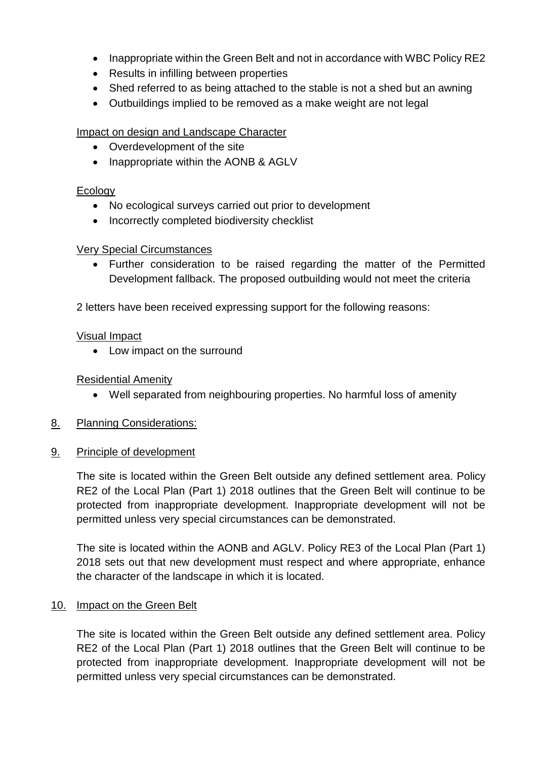- Inappropriate within the Green Belt and not in accordance with WBC Policy RE2
- Results in infilling between properties
- Shed referred to as being attached to the stable is not a shed but an awning
- Outbuildings implied to be removed as a make weight are not legal

#### Impact on design and Landscape Character

- Overdevelopment of the site
- Inappropriate within the AONB & AGLV

#### Ecology

- No ecological surveys carried out prior to development
- Incorrectly completed biodiversity checklist

## Very Special Circumstances

 Further consideration to be raised regarding the matter of the Permitted Development fallback. The proposed outbuilding would not meet the criteria

2 letters have been received expressing support for the following reasons:

#### Visual Impact

• Low impact on the surround

Residential Amenity

- Well separated from neighbouring properties. No harmful loss of amenity
- 8. Planning Considerations:
- 9. Principle of development

The site is located within the Green Belt outside any defined settlement area. Policy RE2 of the Local Plan (Part 1) 2018 outlines that the Green Belt will continue to be protected from inappropriate development. Inappropriate development will not be permitted unless very special circumstances can be demonstrated.

The site is located within the AONB and AGLV. Policy RE3 of the Local Plan (Part 1) 2018 sets out that new development must respect and where appropriate, enhance the character of the landscape in which it is located.

## 10. Impact on the Green Belt

The site is located within the Green Belt outside any defined settlement area. Policy RE2 of the Local Plan (Part 1) 2018 outlines that the Green Belt will continue to be protected from inappropriate development. Inappropriate development will not be permitted unless very special circumstances can be demonstrated.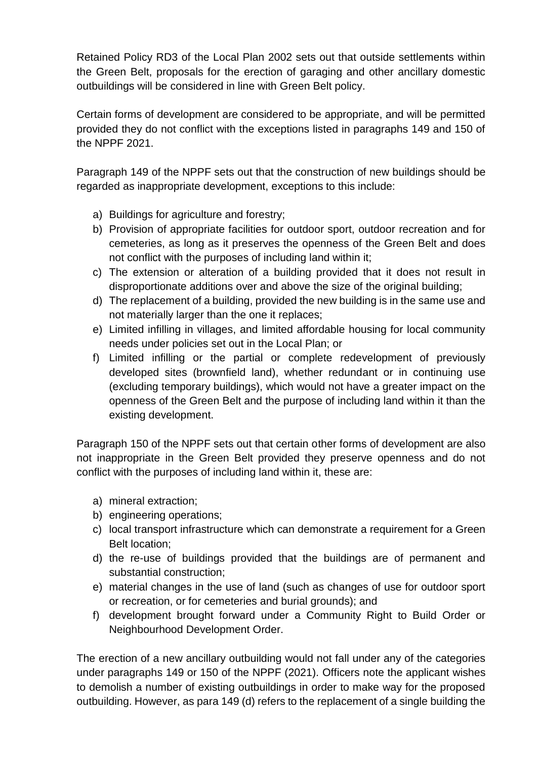Retained Policy RD3 of the Local Plan 2002 sets out that outside settlements within the Green Belt, proposals for the erection of garaging and other ancillary domestic outbuildings will be considered in line with Green Belt policy.

Certain forms of development are considered to be appropriate, and will be permitted provided they do not conflict with the exceptions listed in paragraphs 149 and 150 of the NPPF 2021.

Paragraph 149 of the NPPF sets out that the construction of new buildings should be regarded as inappropriate development, exceptions to this include:

- a) Buildings for agriculture and forestry;
- b) Provision of appropriate facilities for outdoor sport, outdoor recreation and for cemeteries, as long as it preserves the openness of the Green Belt and does not conflict with the purposes of including land within it;
- c) The extension or alteration of a building provided that it does not result in disproportionate additions over and above the size of the original building;
- d) The replacement of a building, provided the new building is in the same use and not materially larger than the one it replaces;
- e) Limited infilling in villages, and limited affordable housing for local community needs under policies set out in the Local Plan; or
- f) Limited infilling or the partial or complete redevelopment of previously developed sites (brownfield land), whether redundant or in continuing use (excluding temporary buildings), which would not have a greater impact on the openness of the Green Belt and the purpose of including land within it than the existing development.

Paragraph 150 of the NPPF sets out that certain other forms of development are also not inappropriate in the Green Belt provided they preserve openness and do not conflict with the purposes of including land within it, these are:

- a) mineral extraction;
- b) engineering operations;
- c) local transport infrastructure which can demonstrate a requirement for a Green Belt location;
- d) the re-use of buildings provided that the buildings are of permanent and substantial construction;
- e) material changes in the use of land (such as changes of use for outdoor sport or recreation, or for cemeteries and burial grounds); and
- f) development brought forward under a Community Right to Build Order or Neighbourhood Development Order.

The erection of a new ancillary outbuilding would not fall under any of the categories under paragraphs 149 or 150 of the NPPF (2021). Officers note the applicant wishes to demolish a number of existing outbuildings in order to make way for the proposed outbuilding. However, as para 149 (d) refers to the replacement of a single building the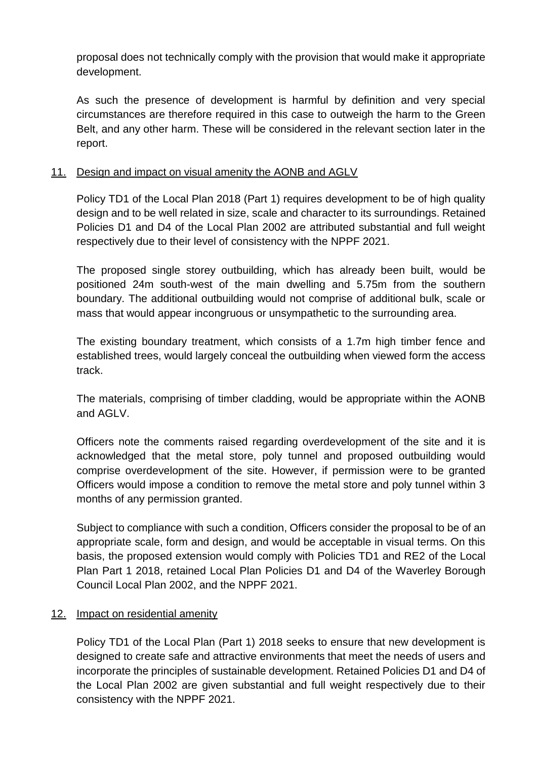proposal does not technically comply with the provision that would make it appropriate development.

As such the presence of development is harmful by definition and very special circumstances are therefore required in this case to outweigh the harm to the Green Belt, and any other harm. These will be considered in the relevant section later in the report.

# 11. Design and impact on visual amenity the AONB and AGLV

Policy TD1 of the Local Plan 2018 (Part 1) requires development to be of high quality design and to be well related in size, scale and character to its surroundings. Retained Policies D1 and D4 of the Local Plan 2002 are attributed substantial and full weight respectively due to their level of consistency with the NPPF 2021.

The proposed single storey outbuilding, which has already been built, would be positioned 24m south-west of the main dwelling and 5.75m from the southern boundary. The additional outbuilding would not comprise of additional bulk, scale or mass that would appear incongruous or unsympathetic to the surrounding area.

The existing boundary treatment, which consists of a 1.7m high timber fence and established trees, would largely conceal the outbuilding when viewed form the access track.

The materials, comprising of timber cladding, would be appropriate within the AONB and AGLV.

Officers note the comments raised regarding overdevelopment of the site and it is acknowledged that the metal store, poly tunnel and proposed outbuilding would comprise overdevelopment of the site. However, if permission were to be granted Officers would impose a condition to remove the metal store and poly tunnel within 3 months of any permission granted.

Subject to compliance with such a condition, Officers consider the proposal to be of an appropriate scale, form and design, and would be acceptable in visual terms. On this basis, the proposed extension would comply with Policies TD1 and RE2 of the Local Plan Part 1 2018, retained Local Plan Policies D1 and D4 of the Waverley Borough Council Local Plan 2002, and the NPPF 2021.

## 12. Impact on residential amenity

Policy TD1 of the Local Plan (Part 1) 2018 seeks to ensure that new development is designed to create safe and attractive environments that meet the needs of users and incorporate the principles of sustainable development. Retained Policies D1 and D4 of the Local Plan 2002 are given substantial and full weight respectively due to their consistency with the NPPF 2021.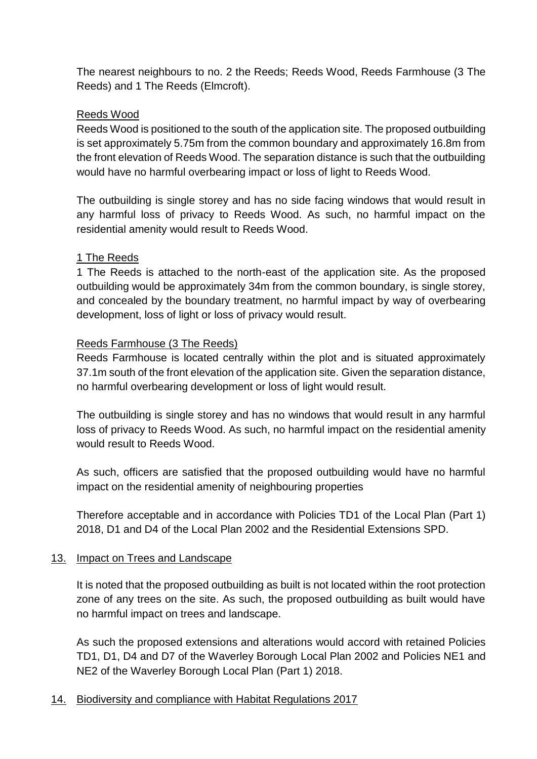The nearest neighbours to no. 2 the Reeds; Reeds Wood, Reeds Farmhouse (3 The Reeds) and 1 The Reeds (Elmcroft).

#### Reeds Wood

Reeds Wood is positioned to the south of the application site. The proposed outbuilding is set approximately 5.75m from the common boundary and approximately 16.8m from the front elevation of Reeds Wood. The separation distance is such that the outbuilding would have no harmful overbearing impact or loss of light to Reeds Wood.

The outbuilding is single storey and has no side facing windows that would result in any harmful loss of privacy to Reeds Wood. As such, no harmful impact on the residential amenity would result to Reeds Wood.

## 1 The Reeds

1 The Reeds is attached to the north-east of the application site. As the proposed outbuilding would be approximately 34m from the common boundary, is single storey, and concealed by the boundary treatment, no harmful impact by way of overbearing development, loss of light or loss of privacy would result.

#### Reeds Farmhouse (3 The Reeds)

Reeds Farmhouse is located centrally within the plot and is situated approximately 37.1m south of the front elevation of the application site. Given the separation distance, no harmful overbearing development or loss of light would result.

The outbuilding is single storey and has no windows that would result in any harmful loss of privacy to Reeds Wood. As such, no harmful impact on the residential amenity would result to Reeds Wood.

As such, officers are satisfied that the proposed outbuilding would have no harmful impact on the residential amenity of neighbouring properties

Therefore acceptable and in accordance with Policies TD1 of the Local Plan (Part 1) 2018, D1 and D4 of the Local Plan 2002 and the Residential Extensions SPD.

#### 13. Impact on Trees and Landscape

It is noted that the proposed outbuilding as built is not located within the root protection zone of any trees on the site. As such, the proposed outbuilding as built would have no harmful impact on trees and landscape.

As such the proposed extensions and alterations would accord with retained Policies TD1, D1, D4 and D7 of the Waverley Borough Local Plan 2002 and Policies NE1 and NE2 of the Waverley Borough Local Plan (Part 1) 2018.

## 14. Biodiversity and compliance with Habitat Regulations 2017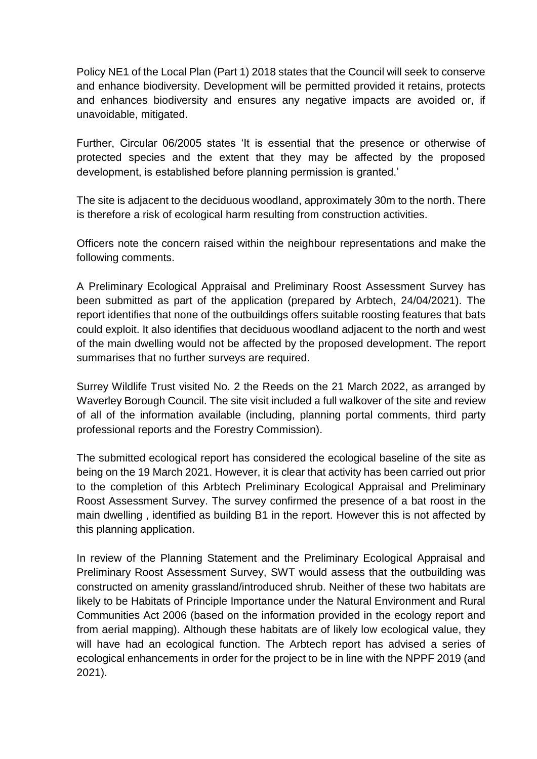Policy NE1 of the Local Plan (Part 1) 2018 states that the Council will seek to conserve and enhance biodiversity. Development will be permitted provided it retains, protects and enhances biodiversity and ensures any negative impacts are avoided or, if unavoidable, mitigated.

Further, Circular 06/2005 states 'It is essential that the presence or otherwise of protected species and the extent that they may be affected by the proposed development, is established before planning permission is granted.'

The site is adjacent to the deciduous woodland, approximately 30m to the north. There is therefore a risk of ecological harm resulting from construction activities.

Officers note the concern raised within the neighbour representations and make the following comments.

A Preliminary Ecological Appraisal and Preliminary Roost Assessment Survey has been submitted as part of the application (prepared by Arbtech, 24/04/2021). The report identifies that none of the outbuildings offers suitable roosting features that bats could exploit. It also identifies that deciduous woodland adjacent to the north and west of the main dwelling would not be affected by the proposed development. The report summarises that no further surveys are required.

Surrey Wildlife Trust visited No. 2 the Reeds on the 21 March 2022, as arranged by Waverley Borough Council. The site visit included a full walkover of the site and review of all of the information available (including, planning portal comments, third party professional reports and the Forestry Commission).

The submitted ecological report has considered the ecological baseline of the site as being on the 19 March 2021. However, it is clear that activity has been carried out prior to the completion of this Arbtech Preliminary Ecological Appraisal and Preliminary Roost Assessment Survey. The survey confirmed the presence of a bat roost in the main dwelling , identified as building B1 in the report. However this is not affected by this planning application.

In review of the Planning Statement and the Preliminary Ecological Appraisal and Preliminary Roost Assessment Survey, SWT would assess that the outbuilding was constructed on amenity grassland/introduced shrub. Neither of these two habitats are likely to be Habitats of Principle Importance under the Natural Environment and Rural Communities Act 2006 (based on the information provided in the ecology report and from aerial mapping). Although these habitats are of likely low ecological value, they will have had an ecological function. The Arbtech report has advised a series of ecological enhancements in order for the project to be in line with the NPPF 2019 (and 2021).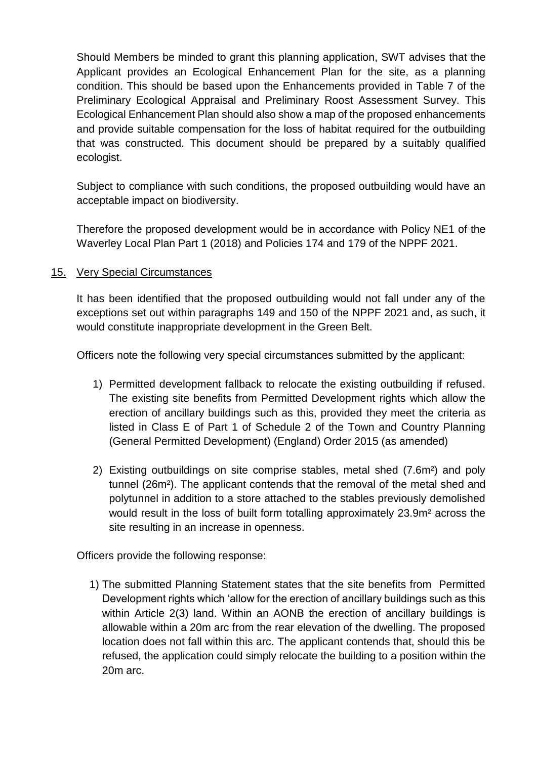Should Members be minded to grant this planning application, SWT advises that the Applicant provides an Ecological Enhancement Plan for the site, as a planning condition. This should be based upon the Enhancements provided in Table 7 of the Preliminary Ecological Appraisal and Preliminary Roost Assessment Survey. This Ecological Enhancement Plan should also show a map of the proposed enhancements and provide suitable compensation for the loss of habitat required for the outbuilding that was constructed. This document should be prepared by a suitably qualified ecologist.

Subject to compliance with such conditions, the proposed outbuilding would have an acceptable impact on biodiversity.

Therefore the proposed development would be in accordance with Policy NE1 of the Waverley Local Plan Part 1 (2018) and Policies 174 and 179 of the NPPF 2021.

# 15. Very Special Circumstances

It has been identified that the proposed outbuilding would not fall under any of the exceptions set out within paragraphs 149 and 150 of the NPPF 2021 and, as such, it would constitute inappropriate development in the Green Belt.

Officers note the following very special circumstances submitted by the applicant:

- 1) Permitted development fallback to relocate the existing outbuilding if refused. The existing site benefits from Permitted Development rights which allow the erection of ancillary buildings such as this, provided they meet the criteria as listed in Class E of Part 1 of Schedule 2 of the Town and Country Planning (General Permitted Development) (England) Order 2015 (as amended)
- 2) Existing outbuildings on site comprise stables, metal shed (7.6m²) and poly tunnel (26m²). The applicant contends that the removal of the metal shed and polytunnel in addition to a store attached to the stables previously demolished would result in the loss of built form totalling approximately 23.9m² across the site resulting in an increase in openness.

Officers provide the following response:

1) The submitted Planning Statement states that the site benefits from Permitted Development rights which 'allow for the erection of ancillary buildings such as this within Article 2(3) land. Within an AONB the erection of ancillary buildings is allowable within a 20m arc from the rear elevation of the dwelling. The proposed location does not fall within this arc. The applicant contends that, should this be refused, the application could simply relocate the building to a position within the 20m arc.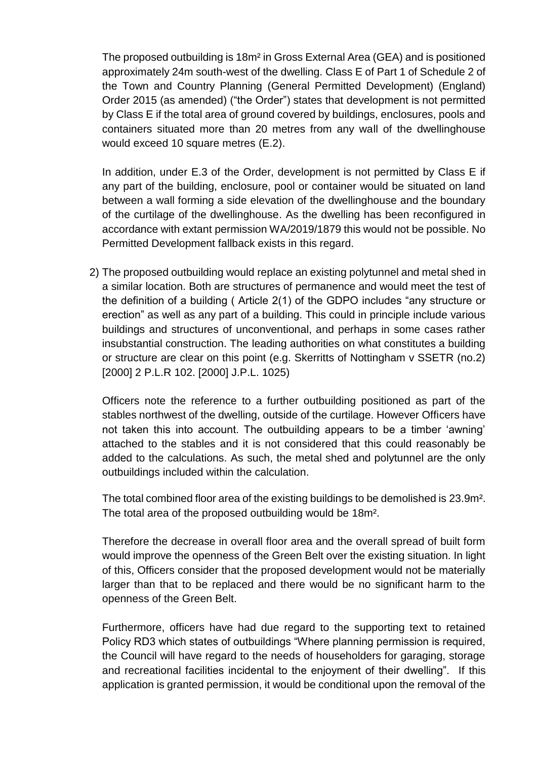The proposed outbuilding is 18m² in Gross External Area (GEA) and is positioned approximately 24m south-west of the dwelling. Class E of Part 1 of Schedule 2 of the Town and Country Planning (General Permitted Development) (England) Order 2015 (as amended) ("the Order") states that development is not permitted by Class E if the total area of ground covered by buildings, enclosures, pools and containers situated more than 20 metres from any wall of the dwellinghouse would exceed 10 square metres (E.2).

In addition, under E.3 of the Order, development is not permitted by Class E if any part of the building, enclosure, pool or container would be situated on land between a wall forming a side elevation of the dwellinghouse and the boundary of the curtilage of the dwellinghouse. As the dwelling has been reconfigured in accordance with extant permission WA/2019/1879 this would not be possible. No Permitted Development fallback exists in this regard.

2) The proposed outbuilding would replace an existing polytunnel and metal shed in a similar location. Both are structures of permanence and would meet the test of the definition of a building ( Article 2(1) of the GDPO includes "any structure or erection" as well as any part of a building. This could in principle include various buildings and structures of unconventional, and perhaps in some cases rather insubstantial construction. The leading authorities on what constitutes a building or structure are clear on this point (e.g. Skerritts of Nottingham v SSETR (no.2) [2000] 2 P.L.R 102. [2000] J.P.L. 1025)

Officers note the reference to a further outbuilding positioned as part of the stables northwest of the dwelling, outside of the curtilage. However Officers have not taken this into account. The outbuilding appears to be a timber 'awning' attached to the stables and it is not considered that this could reasonably be added to the calculations. As such, the metal shed and polytunnel are the only outbuildings included within the calculation.

The total combined floor area of the existing buildings to be demolished is 23.9m². The total area of the proposed outbuilding would be 18m².

Therefore the decrease in overall floor area and the overall spread of built form would improve the openness of the Green Belt over the existing situation. In light of this, Officers consider that the proposed development would not be materially larger than that to be replaced and there would be no significant harm to the openness of the Green Belt.

Furthermore, officers have had due regard to the supporting text to retained Policy RD3 which states of outbuildings "Where planning permission is required, the Council will have regard to the needs of householders for garaging, storage and recreational facilities incidental to the enjoyment of their dwelling". If this application is granted permission, it would be conditional upon the removal of the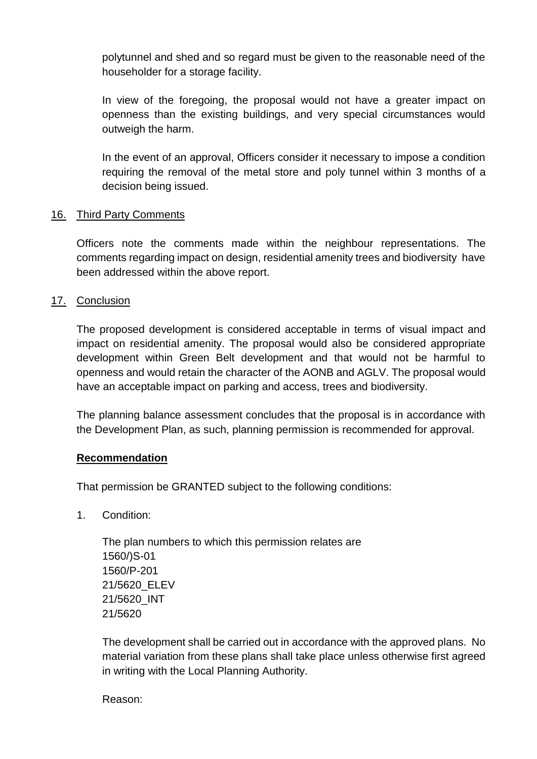polytunnel and shed and so regard must be given to the reasonable need of the householder for a storage facility.

In view of the foregoing, the proposal would not have a greater impact on openness than the existing buildings, and very special circumstances would outweigh the harm.

In the event of an approval, Officers consider it necessary to impose a condition requiring the removal of the metal store and poly tunnel within 3 months of a decision being issued.

## 16. Third Party Comments

Officers note the comments made within the neighbour representations. The comments regarding impact on design, residential amenity trees and biodiversity have been addressed within the above report.

#### 17. Conclusion

The proposed development is considered acceptable in terms of visual impact and impact on residential amenity. The proposal would also be considered appropriate development within Green Belt development and that would not be harmful to openness and would retain the character of the AONB and AGLV. The proposal would have an acceptable impact on parking and access, trees and biodiversity.

The planning balance assessment concludes that the proposal is in accordance with the Development Plan, as such, planning permission is recommended for approval.

#### **Recommendation**

That permission be GRANTED subject to the following conditions:

1. Condition:

The plan numbers to which this permission relates are 1560/)S-01 1560/P-201 21/5620\_ELEV 21/5620\_INT 21/5620

The development shall be carried out in accordance with the approved plans. No material variation from these plans shall take place unless otherwise first agreed in writing with the Local Planning Authority.

Reason: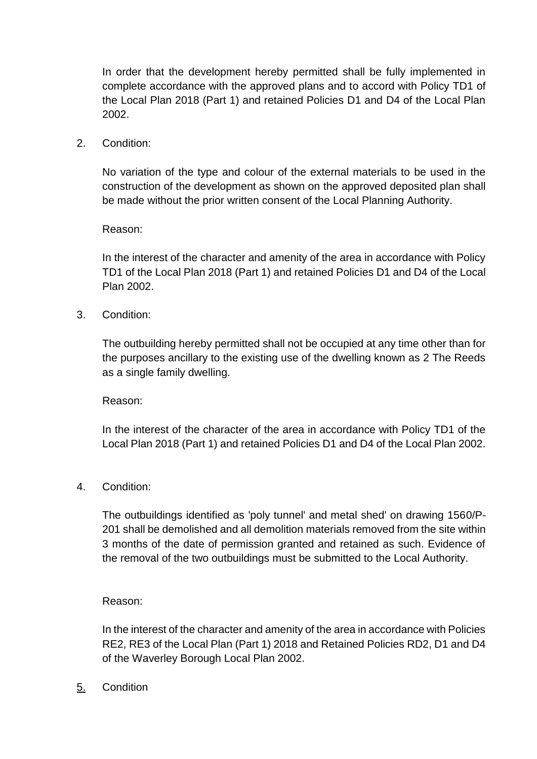In order that the development hereby permitted shall be fully implemented in complete accordance with the approved plans and to accord with Policy TD1 of the Local Plan 2018 (Part 1) and retained Policies D1 and D4 of the Local Plan 2002.

2. Condition:

No variation of the type and colour of the external materials to be used in the construction of the development as shown on the approved deposited plan shall be made without the prior written consent of the Local Planning Authority.

Reason:

In the interest of the character and amenity of the area in accordance with Policy TD1 of the Local Plan 2018 (Part 1) and retained Policies D1 and D4 of the Local Plan 2002.

3. Condition:

The outbuilding hereby permitted shall not be occupied at any time other than for the purposes ancillary to the existing use of the dwelling known as 2 The Reeds as a single family dwelling.

Reason:

In the interest of the character of the area in accordance with Policy TD1 of the Local Plan 2018 (Part 1) and retained Policies D1 and D4 of the Local Plan 2002.

4. Condition:

The outbuildings identified as 'poly tunnel' and metal shed' on drawing 1560/P-201 shall be demolished and all demolition materials removed from the site within 3 months of the date of permission granted and retained as such. Evidence of the removal of the two outbuildings must be submitted to the Local Authority.

Reason:

In the interest of the character and amenity of the area in accordance with Policies RE2, RE3 of the Local Plan (Part 1) 2018 and Retained Policies RD2, D1 and D4 of the Waverley Borough Local Plan 2002.

5. Condition